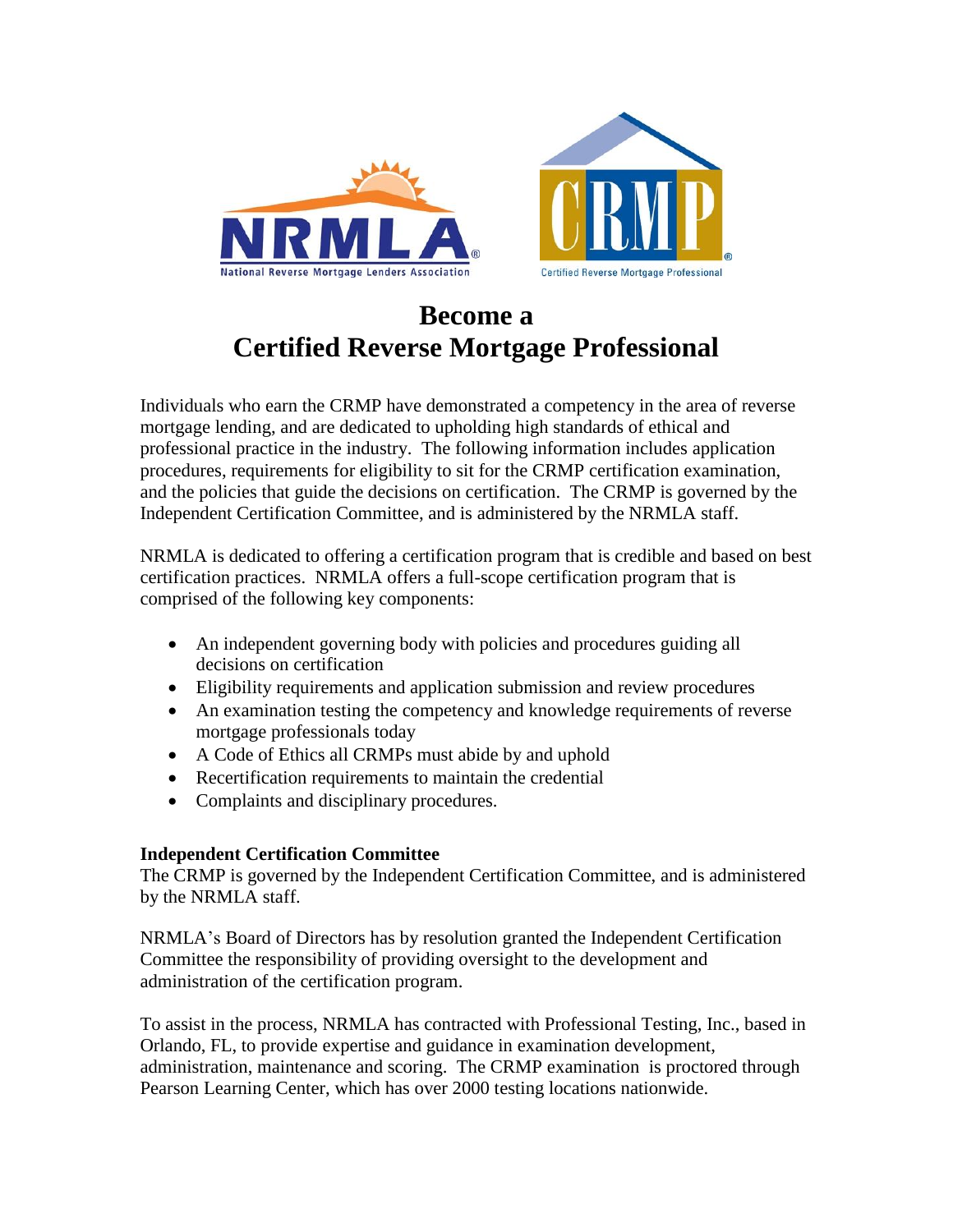



# **Become a Certified Reverse Mortgage Professional**

Individuals who earn the CRMP have demonstrated a competency in the area of reverse mortgage lending, and are dedicated to upholding high standards of ethical and professional practice in the industry. The following information includes application procedures, requirements for eligibility to sit for the CRMP certification examination, and the policies that guide the decisions on certification. The CRMP is governed by the Independent Certification Committee, and is administered by the NRMLA staff.

NRMLA is dedicated to offering a certification program that is credible and based on best certification practices. NRMLA offers a full-scope certification program that is comprised of the following key components:

- An independent governing body with policies and procedures guiding all decisions on certification
- Eligibility requirements and application submission and review procedures
- An examination testing the competency and knowledge requirements of reverse mortgage professionals today
- A Code of Ethics all CRMPs must abide by and uphold
- Recertification requirements to maintain the credential
- Complaints and disciplinary procedures.

# **Independent Certification Committee**

The CRMP is governed by the Independent Certification Committee, and is administered by the NRMLA staff.

NRMLA's Board of Directors has by resolution granted the Independent Certification Committee the responsibility of providing oversight to the development and administration of the certification program.

To assist in the process, NRMLA has contracted with Professional Testing, Inc., based in Orlando, FL, to provide expertise and guidance in examination development, administration, maintenance and scoring. The CRMP examination is proctored through Pearson Learning Center, which has over 2000 testing locations nationwide.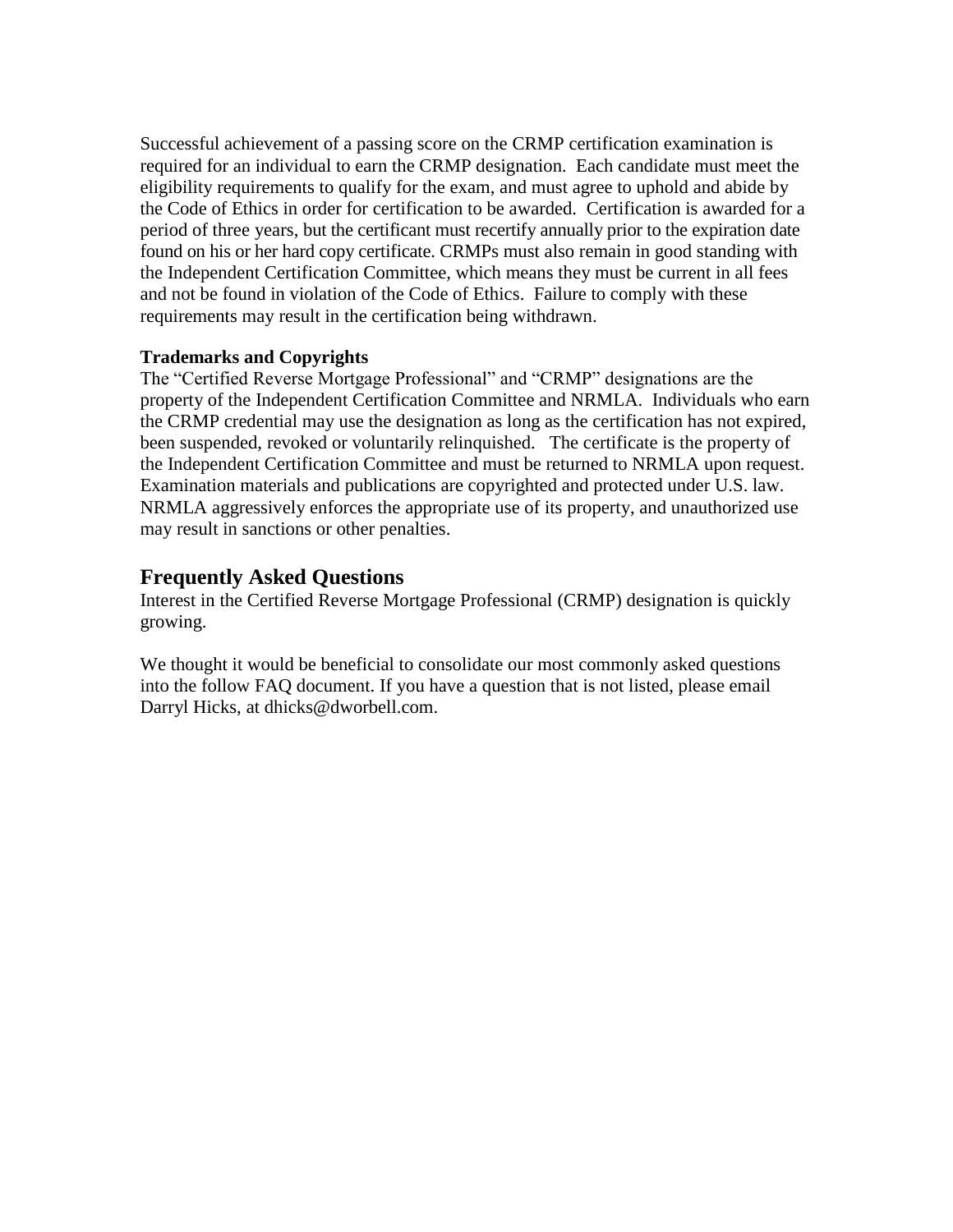Successful achievement of a passing score on the CRMP certification examination is required for an individual to earn the CRMP designation. Each candidate must meet the eligibility requirements to qualify for the exam, and must agree to uphold and abide by the Code of Ethics in order for certification to be awarded. Certification is awarded for a period of three years, but the certificant must recertify annually prior to the expiration date found on his or her hard copy certificate. CRMPs must also remain in good standing with the Independent Certification Committee, which means they must be current in all fees and not be found in violation of the Code of Ethics. Failure to comply with these requirements may result in the certification being withdrawn.

## **Trademarks and Copyrights**

The "Certified Reverse Mortgage Professional" and "CRMP" designations are the property of the Independent Certification Committee and NRMLA. Individuals who earn the CRMP credential may use the designation as long as the certification has not expired, been suspended, revoked or voluntarily relinquished. The certificate is the property of the Independent Certification Committee and must be returned to NRMLA upon request. Examination materials and publications are copyrighted and protected under U.S. law. NRMLA aggressively enforces the appropriate use of its property, and unauthorized use may result in sanctions or other penalties.

# **Frequently Asked Questions**

Interest in the Certified Reverse Mortgage Professional (CRMP) designation is quickly growing.

We thought it would be beneficial to consolidate our most commonly asked questions into the follow FAQ document. If you have a question that is not listed, please email Darryl Hicks, at dhicks@dworbell.com.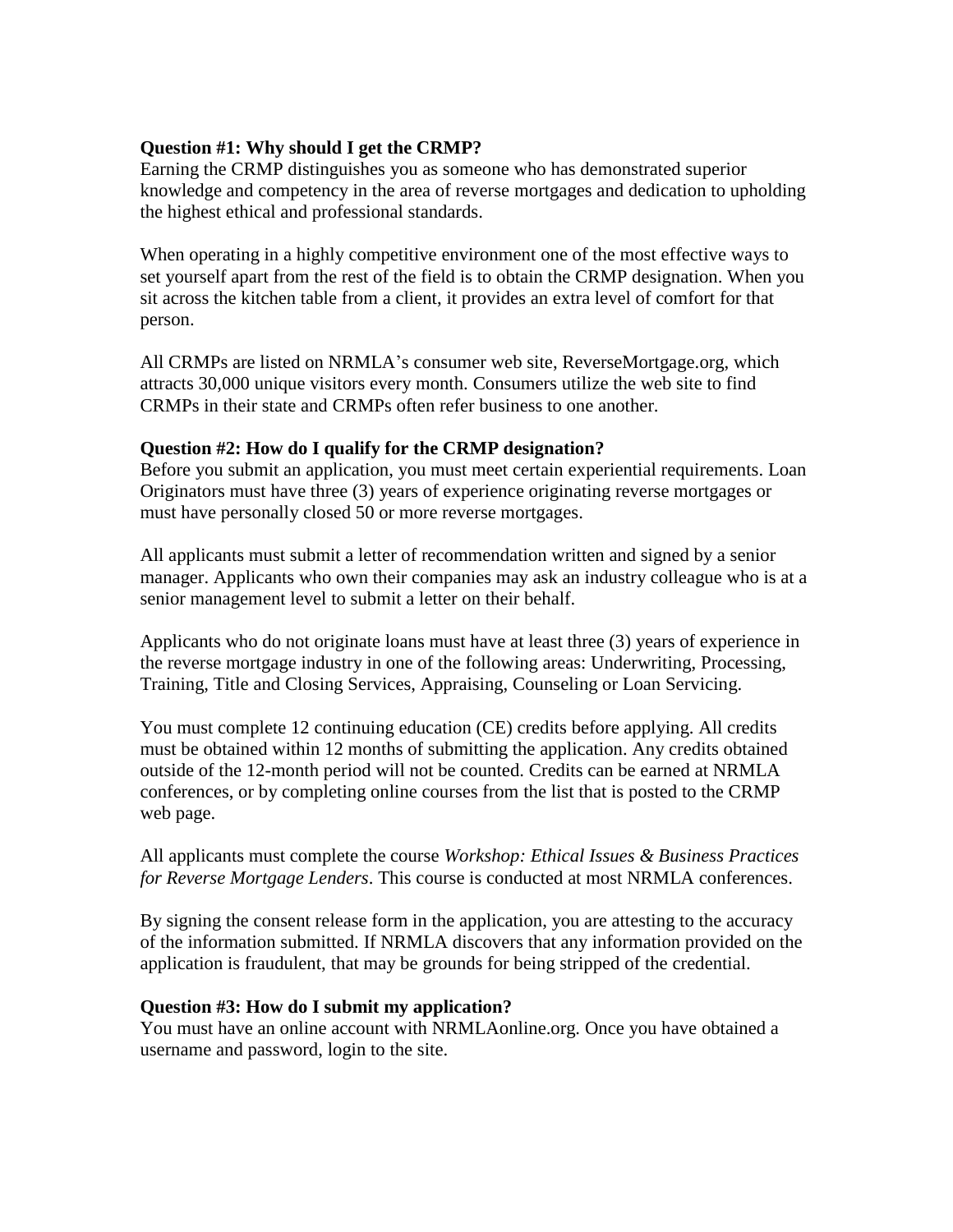## **Question #1: Why should I get the CRMP?**

Earning the CRMP distinguishes you as someone who has demonstrated superior knowledge and competency in the area of reverse mortgages and dedication to upholding the highest ethical and professional standards.

When operating in a highly competitive environment one of the most effective ways to set yourself apart from the rest of the field is to obtain the CRMP designation. When you sit across the kitchen table from a client, it provides an extra level of comfort for that person.

All CRMPs are listed on NRMLA's consumer web site, ReverseMortgage.org, which attracts 30,000 unique visitors every month. Consumers utilize the web site to find CRMPs in their state and CRMPs often refer business to one another.

## **Question #2: How do I qualify for the CRMP designation?**

Before you submit an application, you must meet certain experiential requirements. Loan Originators must have three (3) years of experience originating reverse mortgages or must have personally closed 50 or more reverse mortgages.

All applicants must submit a letter of recommendation written and signed by a senior manager. Applicants who own their companies may ask an industry colleague who is at a senior management level to submit a letter on their behalf.

Applicants who do not originate loans must have at least three (3) years of experience in the reverse mortgage industry in one of the following areas: Underwriting, Processing, Training, Title and Closing Services, Appraising, Counseling or Loan Servicing.

You must complete 12 continuing education (CE) credits before applying. All credits must be obtained within 12 months of submitting the application. Any credits obtained outside of the 12-month period will not be counted. Credits can be earned at NRMLA conferences, or by completing online courses from the list that is posted to the CRMP web page.

All applicants must complete the course *Workshop: Ethical Issues & Business Practices for Reverse Mortgage Lenders*. This course is conducted at most NRMLA conferences.

By signing the consent release form in the application, you are attesting to the accuracy of the information submitted. If NRMLA discovers that any information provided on the application is fraudulent, that may be grounds for being stripped of the credential.

## **Question #3: How do I submit my application?**

You must have an online account with NRMLAonline.org. Once you have obtained a username and password, login to the site.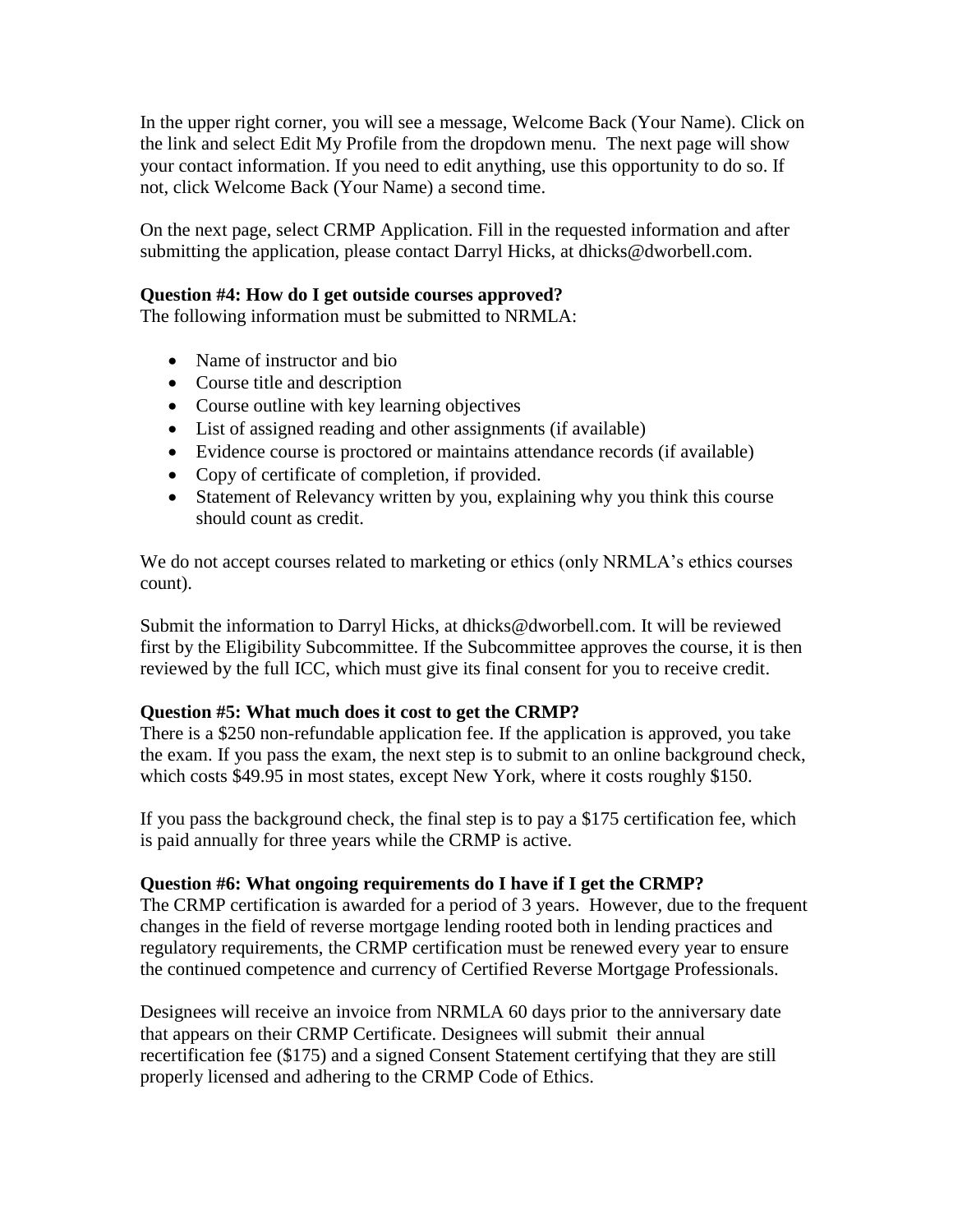In the upper right corner, you will see a message, Welcome Back (Your Name). Click on the link and select Edit My Profile from the dropdown menu. The next page will show your contact information. If you need to edit anything, use this opportunity to do so. If not, click Welcome Back (Your Name) a second time.

On the next page, select CRMP Application. Fill in the requested information and after submitting the application, please contact Darryl Hicks, at dhicks@dworbell.com.

## **Question #4: How do I get outside courses approved?**

The following information must be submitted to NRMLA:

- Name of instructor and bio
- Course title and description
- Course outline with key learning objectives
- List of assigned reading and other assignments (if available)
- Evidence course is proctored or maintains attendance records (if available)
- Copy of certificate of completion, if provided.
- Statement of Relevancy written by you, explaining why you think this course should count as credit.

We do not accept courses related to marketing or ethics (only NRMLA's ethics courses count).

Submit the information to Darryl Hicks, at dhicks@dworbell.com. It will be reviewed first by the Eligibility Subcommittee. If the Subcommittee approves the course, it is then reviewed by the full ICC, which must give its final consent for you to receive credit.

## **Question #5: What much does it cost to get the CRMP?**

There is a \$250 non-refundable application fee. If the application is approved, you take the exam. If you pass the exam, the next step is to submit to an online background check, which costs \$49.95 in most states, except New York, where it costs roughly \$150.

If you pass the background check, the final step is to pay a \$175 certification fee, which is paid annually for three years while the CRMP is active.

## **Question #6: What ongoing requirements do I have if I get the CRMP?**

The CRMP certification is awarded for a period of 3 years. However, due to the frequent changes in the field of reverse mortgage lending rooted both in lending practices and regulatory requirements, the CRMP certification must be renewed every year to ensure the continued competence and currency of Certified Reverse Mortgage Professionals.

Designees will receive an invoice from NRMLA 60 days prior to the anniversary date that appears on their CRMP Certificate. Designees will submit their annual recertification fee (\$175) and a signed Consent Statement certifying that they are still properly licensed and adhering to the CRMP Code of Ethics.